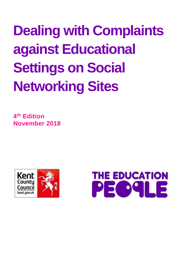# **Dealing with Complaints against Educational Settings on Social Networking Sites**

**4 th Edition November 2018**



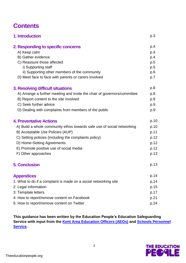# **Contents**

| 1. Introduction                                                          | p.3  |
|--------------------------------------------------------------------------|------|
| 2. Responding to specific concerns                                       | p.4  |
| A) Keep calm                                                             | p.4  |
| B) Gather evidence                                                       | p.4  |
| C) Reassure those affected                                               | p.5  |
| i) Supporting staff                                                      | p.5  |
| ii) Supporting other members of the community                            | p.6  |
| D) Meet face to face with parents or carers involved                     | p.7  |
| 3. Resolving difficult situations                                        | p.8  |
| A) Arrange a further meeting and invite the chair of governors/committee | p.8  |
| B) Report content to the site involved                                   | p.9  |
| C) Seek further advice                                                   | p.9  |
| D) Dealing with complaints from members of the public                    | p.9  |
| <b>4. Preventative Actions</b>                                           | p.10 |
| A) Build a whole community ethos towards safe use of social networking   | p.10 |
| B) Acceptable Use Policies (AUP)                                         | p.11 |
| C) Setting policies (including the complaints policy)                    | p.12 |
| D) Home-Setting Agreements                                               | p.12 |
| E) Promote positive use of social media                                  | p.12 |
| F) Other approaches                                                      | p.13 |
| <b>5. Conclusion</b>                                                     | p.13 |
| <b>Appendices</b>                                                        | p.14 |
| 1. What to do if a complaint is made on a social networking site         | p.14 |
| 2: Legal Information                                                     | p.15 |
| 3: Template letters                                                      | p.17 |
| 4: How to report/remove content on Facebook                              | p.21 |
| 5: How to report/remove content on Twitter                               | p.24 |
|                                                                          |      |

**This guidance has been written by the Education People's Education Safeguarding Service with input from the [Kent Area Education Officers \(AEOs\)](http://www.kelsi.org.uk/) and [Schools Personnel](https://the-sps.co.uk/)  [Service.](https://the-sps.co.uk/)**

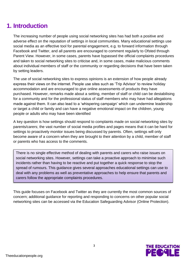# **1. Introduction**

The increasing number of people using social networking sites has had both a positive and adverse effect on the reputation of settings in local communities. Many educational settings use social media as an effective tool for parental engagement, e.g. to forward information through Facebook and Twitter, and all parents are encouraged to comment regularly to Ofsted through Parent View. However, in some cases, parents have bypassed the official complaints procedures and taken to social networking sites to criticise and, in some cases, make malicious comments about individual members of staff or the community or regarding decisions that have been taken by setting leaders.

The use of social networking sites to express opinions is an extension of how people already express their views on the internet. People use sites such as 'Trip Advisor' to review holiday accommodation and are encouraged to give online assessments of products they have purchased. However, remarks made about a setting, member of staff or child can be destabilising for a community and for the professional status of staff members who may have had allegations made against them. It can also lead to a 'whispering campaign' which can undermine leadership or target a child or family and can have a negative emotional impact on the children, young people or adults who may have been identified

A key question is how settings should respond to complaints made on social networking sites by parents/carers; the vast number of social media profiles and pages means that it can be hard for settings to proactively monitor issues being discussed by parents. Often, settings will only become aware of a concern when they are brought to their attention by a child, member of staff or parents who has access to the comments.

There is no single effective method of dealing with parents and carers who raise issues on social networking sites. However, settings can take a proactive approach to minimise such incidents rather than having to be reactive and put together a quick response to stop the spread of rumours. This guidance gives several approaches educational settings can use to deal with any problems as well as preventative approaches to help ensure that parents and carers follow the appropriate complaints procedures.

This guide focuses on Facebook and Twitter as they are currently the most common sources of concern; additional guidance for reporting and responding to concerns on other popular social networking sites can be accessed via the Education Safeguarding Advisor (Online Protection).

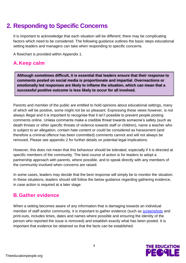# **2. Responding to Specific Concerns**

It is important to acknowledge that each situation will be different; there may be complicating factors which need to be considered. The following guidance outlines the basic steps educational setting leaders and managers can take when responding to specific concerns.

A flowchart is provided within Appendix 1.

# **A.Keep calm**

**Although sometimes difficult, it is essential that leaders ensure that their response to comments posted on social media is proportionate and impartial. Overreactions or emotionally led responses are likely to inflame the situation, which can mean that a successful positive outcome is less likely to occur for all involved.** 

Parents and member of the public are entitled to hold opinions about educational settings, many of which will be positive, some might not be so pleasant. Expressing these views however, is not always illegal and it is important to recognise that it isn't possible to prevent people posting comments online. Unless comments make a credible threat towards someone's safety (such as death threats or other specific threats of violence towards staff or children), name a teacher who is subject to an allegation, contain hate content or could be considered as harassment (and therefore a criminal offence has been committed) comments cannot and will not always be removed. Please see appendix 2 for further details on potential legal implications.

However, this does not mean that this behaviour should be tolerated, especially if it is directed at specific members of the community. The best course of action is for leaders to adopt a partnership approach with parents, where possible, and to speak directly with any members of the community involved when concerns are raised.

In some cases, leaders may decide that the best response will simply be to monitor the situation. In these situations, leaders should still follow the below guidance regarding gathering evidence, in case action is required at a later stage.

# **B.Gather evidence**

When a setting becomes aware of any information that is damaging towards an individual member of staff and/or community, it is important to gather evidence (such as [screenshots](http://www.wikihow.com/Take-a-Screenshot-in-Microsoft-Windows) and print-outs, includes times, dates and names where possible and ensuring the identity of the person who reported the issue is removed) and establish exactly what has been posted. It is important that evidence be obtained so that the facts can be established.

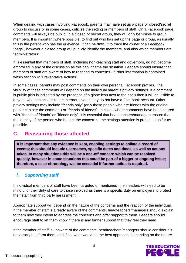When dealing with cases involving Facebook, parents may have set up a page or closed/secret group to discuss or in some cases, criticise the setting or members of staff. On a Facebook page, comments will always be public. In a closed or secret group, they will only be visible to group members. It is important where possible, to find out who has set up the page or group, as usually this is the parent who has the grievance. It can be difficult to trace the owner of a Facebook "page", however a closed group will publicly identify the members, and also which members are "administrators".

It is essential that members of staff, including non-teaching staff and governors, do not become embroiled in any of the discussion as this can inflame the situation. Leaders should ensure that members of staff are aware of how to respond to concerns - further information is contained within section 4: 'Preventative Actions'.

In some cases, parents may post comments on their own personal Facebook profiles. The visibility of these comments will depend on the individual parent's privacy settings. If a comment is public (this is indicated by the presence of a globe icon next to the post) then it will be visible to anyone who has access to the internet, even if they do not have a Facebook account. Other privacy settings may include "friends only" (only those people who are friends with the original poster can see the comment) or "friends of friends". In cases where comments have been shared with "friends of friends" or "friends only", it is essential that headteachers/managers ensure that the identity of the person who bought the concern to the settings attention is protected as far as possible.

# **C. Reassuring those affected**

**It is important that any evidence is kept, enabling settings to collate a record of events; this should include usernames, specific dates and times, as well as actions taken. In many situations this will be a one-off concern which can be resolved quickly, however in some situations this could be part of a bigger or ongoing issue; therefore, a clear chronology will be essential if further action is required.** 

# *i. Supporting staff*

If individual members of staff have been targeted or mentioned, then leaders will need to be mindful of their duty of care to those involved as there is a specific duty on employers to protect their staff from third party harassment.

Appropriate support will depend on the nature of the concerns and the reaction of the individual. If the member of staff is already aware of the comments, headteachers/managers should explain to them how they intend to address the concerns and offer support to them. Leaders should encourage staff to let them know if there is any further support that they feel they need.

If the member of staff is unaware of the comments, headteachers/managers should consider if it necessary to inform them, and if so, what would be the best approach. Depending on the nature

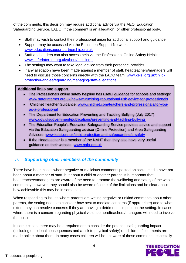of the comments, this decision may require additional advice via the AEO, Education Safeguarding Service, LADO (if the comment is an allegation) or other professional body.

- Staff may wish to contact their professional union for additional support and guidance
- Support may be accessed via the Education Support Network: www.educationsupportpartnership.org.uk
- Staff and leaders can also access help via the Professional Online Safety Helpline: [www.saferinternet.org.uk/about/helpline](file:///C:/Users/averyr01/AppData/Local/Microsoft/Windows/Temporary%20Internet%20Files/Content.Outlook/Q5LICBKV/www.saferinternet.org.uk/about/helpline)
- The settings may want to take legal advice from their personnel provider
- If any allegation have been made against a member of staff, headteachers/managers will need to discuss those concerns directly with the LADO team: [www.kelsi.org.uk/child](http://www.kelsi.org.uk/child-protection-and-safeguarding/managing-staff-allegations)[protection-and-safeguarding/managing-staff-allegations](http://www.kelsi.org.uk/child-protection-and-safeguarding/managing-staff-allegations)

## **Additional links and support**:

- The Professionals online safety helpline has useful guidance for schools and settings: [www.saferinternet.org.uk/news/minimising-reputational-risk-advice-for-professionals](http://www.saferinternet.org.uk/news/minimising-reputational-risk-advice-for-professionals)
- Childnet Teacher Guidance: [www.childnet.com/teachers-and-professionals/for-you](file:///C:/Users/averyr01/AppData/Local/Microsoft/Windows/Temporary%20Internet%20Files/Content.Outlook/Q5LICBKV/www.childnet.com/teachers-and-professionals/for-you-as-a-professional)[as-a-professional](file:///C:/Users/averyr01/AppData/Local/Microsoft/Windows/Temporary%20Internet%20Files/Content.Outlook/Q5LICBKV/www.childnet.com/teachers-and-professionals/for-you-as-a-professional)
- The Department for Education Preventing and Tackling Bullying (July 2017) [www.gov.uk/government/publications/preventing-and-tackling-bullying](https://www.gov.uk/government/publications/preventing-and-tackling-bullying)
- The Education People's Education Safeguarding Service provides advice and support via the Education Safeguarding advisor (Online Protection) and Area Safeguarding Advisors: [www.kelsi.org.uk/child-protection-and-safeguarding/e-safety](http://www.kelsi.org.uk/child-protection-and-safeguarding/e-safety)
- If the Headteacher is a member of the NAHT then they also have very useful guidance on their website. www.naht.org.uk

# *ii. Supporting other members of the community*

There have been cases where negative or malicious comments posted on social media have not been about a member of staff, but about a child or another parent. It is important that headteachers/managers are aware of the need to promote the wellbeing and safety of the whole community, however, they should also be aware of some of the limitations and be clear about how achievable this may be in some cases.

When responding to issues where parents are writing negative or unkind comments about other parents, the setting needs to consider how best to mediate concerns (if appropriate) and to what extent they can resolve concerns if they are having a detrimental impact on the setting. In cases where there is a concern regarding physical violence headteachers/managers will need to involve the police.

In some cases, there may be a requirement to consider the potential safeguarding impact (including emotional consequences and a risk to physical safety) on children if comments are made online about them. In many cases children will be unaware of these comments, especially

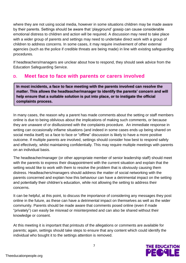where they are not using social media, however in some situations children may be made aware by their parents. Settings should be aware that 'playground' gossip can cause considerable emotional distress to children and action will be required. A discussion may need to take place with a wider group of parents and settings may need to undertake direct work with a group of children to address concerns. In some cases, it may require involvement of other external agencies (such as the police if credible threats are being made) in line with existing safeguarding procedures.

If headteachers/managers are unclear about how to respond, they should seek advice from the Education Safeguarding Service.

# **D. Meet face to face with parents or carers involved**

**In most incidents, a face to face meeting with the parents involved can resolve the matter. This allows the headteacher/manager to identify the parents' concern and will help ensure that a suitable solution is put into place, or to instigate the official complaints process.** 

In many cases, the reason why a parent has made comments about the setting or staff members online is due to being oblivious about the implications of making such comments, or because they are unaware of or disillusioned with the complaints procedure. An immediate response in writing can occasionally inflame situations (and indeed in some cases ends up being shared on social media itself) so a face to face or "offline" discussion is likely to have a more positive outcome. If multiple parents are involved, settings should consider how best to respond safely and effectively, whilst maintaining confidentially. This may require multiple meetings with parents on an individual basis.

The headteacher/manager (or other appropriate member of senior leadership staff) should meet with the parents to express their disappointment with the current situation and explain that the setting would like to work with them to resolve the problem that is obviously causing them distress. Headteachers/managers should address the matter of social networking with the parents concerned and explain how this behaviour can have a detrimental impact on the setting and potentially their children's education, while not allowing the setting to address their concerns.

It can be helpful, at this point, to discuss the importance of considering any messages they post online in the future, as these can have a detrimental impact on themselves as well as the wider community. Parents should be made aware that comments posed online (even if made "privately") can easily be misread or misinterpreted and can also be shared without their knowledge or consent.

At this meeting it is important that printouts of the allegations or comments are available for parents; again, settings should take steps to ensure that any content which could identify the individual who bought it to the settings attention is removed.

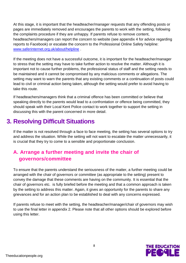At this stage, it is important that the headteacher/manager requests that any offending posts or pages are immediately removed and encourages the parents to work with the setting, following the complaints procedure if they are unhappy. If parents refuse to remove content, headteachers/managers can report the concern to website (see appendix 4 for advice regarding reports to Facebook) or escalate the concern to the Professional Online Safety helpline: [www.saferinternet.org.uk/about/helpline](http://www.saferinternet.org.uk/about/helpline) .

If the meeting does not have a successful outcome, it is important for the headteacher/manager to stress that the setting may have to take further action to resolve the matter. Although it is important not to cause further problems, the professional status of staff and the setting needs to be maintained and it cannot be compromised by any malicious comments or allegations. The setting may want to warn the parents that any existing comments or a continuation of posts could lead to civil or criminal action being taken, although the setting would prefer to avoid having to take this route.

If headteachers/managers think that a criminal offence has been committed or believe that speaking directly to the parents would lead to a confrontation or offence being committed, they should speak with their Local Kent Police contact to work together to support the setting in discussing this with the parent concerned in more detail.

# **3. Resolving Difficult Situations**

If the matter is not resolved through a face to face meeting, the setting has several options to try and address the situation. While the setting will not want to escalate the matter unnecessarily, it is crucial that they try to come to a sensible and proportionate conclusion.

# **A. Arrange a further meeting and invite the chair of governors/committee**

To ensure that the parents understand the seriousness of the matter, a further meeting could be arranged with the chair of governors or committee (as appropriate to the setting) present to convey the damage that these comments are having on the community. It is essential that the chair of governors etc. is fully briefed before the meeting and that a common approach is taken by the setting to address this matter. Again, it gives an opportunity for the parents to share any grievances and for an action plan to be established to deal with any concerns expressed.

If parents refuse to meet with the setting, the headteacher/manager/chair of governors may wish to use the final letter in appendix 2. Please note that all other options should be explored before using this letter.

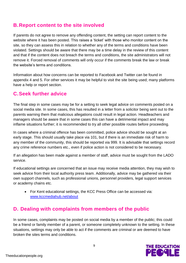# **B.Report content to the site involved**

If parents do not agree to remove any offending content, the setting can report content to the website where it has been posted. This raises a 'ticket' with those who monitor content on the site, so they can assess this in relation to whether any of the terms and conditions have been violated. Settings should be aware that there may be a time delay in the review of this content and that if the content does not breach the terms and conditions, the site administrators will not remove it. Forced removal of comments will only occur if the comments break the law or break the website's terms and conditions.

Information about how concerns can be reported to Facebook and Twitter can be found in appendix 4 and 5. For other services it may be helpful to visit the site being used; many platforms have a help or report section.

# **C.Seek further advice**

The final step in some cases may be for a setting to seek legal advice on comments posted on a social media site. In some cases, this has resulted in a letter from a solicitor being sent out to the parents warning them that malicious allegations could result in legal action. Headteachers and managers should be aware that in some cases this can have a detrimental impact and may inflame situations further; it is recommended to try all other possible routes before proceeding.

In cases where a criminal offence has been committed, police advice should be sought at an early stage. This should usually take place via 101, but if there is an immediate risk of harm to any member of the community, this should be reported via 999. It is advisable that settings record any crime reference numbers etc., even if police action is not considered to be necessary.

If an allegation has been made against a member of staff, advice must be sought from the LADO service.

If educational settings are concerned that an issue may receive media attention, they may wish to seek advice from their local authority press team. Additionally, advice may be gathered via their own support channels, such as professional unions, personnel providers, legal support services or academy chains etc.

• For Kent educational settings, the KCC Press Office can be accessed via: [www.kccmediahub.net/about](http://www.kccmediahub.net/about)

# **D. Dealing with complaints from members of the public**

In some cases, complaints may be posted on social media by a member of the public; this could be a friend or family member of a parent, or someone completely unknown to the setting. In these situations, settings may only be able to act if the comments are criminal or are deemed to have broken the sites terms and conditions.

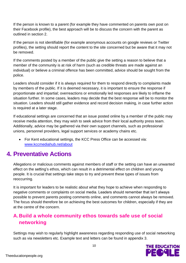If the person is known to a parent (for example they have commented on parents own post on their Facebook profile), the best approach will be to discuss the concern with the parent as outlined in section 2.

If the person is not identifiable (for example anonymous accounts on google reviews or Twitter profiles), the setting should report the content to the site concerned but be aware that it may not be removed.

If the comments posted by a member of the public give the setting a reason to believe that a member of the community is at risk of harm (such as credible threats are made against an individual) or believe a criminal offence has been committed, advice should be sought from the police.

Leaders should consider if it is always required for them to respond directly to complaints made by members of the public. If it is deemed necessary, it is important to ensure the response if proportionate and impartial; overreactions or emotionally led responses are likely to inflame the situation further. In some cases, leaders may decide that the best response will be to monitor the situation. Leaders should still gather evidence and record decision making, in case further action is required at a later stage.

If educational settings are concerned that an issue posted online by a member of the public may receive media attention, they may wish to seek advice from their local authority press team. Additionally, advice may be gathered via their own support channels, such as professional unions, personnel providers, legal support services or academy chains etc.

• For Kent educational settings, the KCC Press Office can be accessed via: [www.kccmediahub.net/about](http://www.kccmediahub.net/about)

# **4. Preventative Actions**

Allegations or malicious comments against members of staff or the setting can have an unwanted effect on the setting's ethos, which can result in a detrimental effect on children and young people. It is crucial that settings take steps to try and prevent these types of issues from reoccurring.

It is important for leaders to be realistic about what they hope to achieve when responding to negative comments or complaints on social media. Leaders should remember that isn't always possible to prevent parents posting comments online, and comments cannot always be removed. The focus should therefore be on achieving the best outcomes for children, especially if they are at the centre of the concern.

# **A.Build a whole community ethos towards safe use of social networking**

Settings may wish to regularly highlight awareness regarding responding use of social networking such as via newsletters etc. Example text and letters can be found in appendix 3.

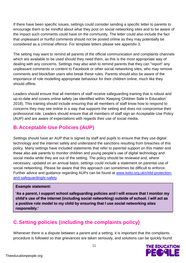If there have been specific issues, settings could consider sending a specific letter to parents to encourage them to be mindful about what they post on social networking sites and to be aware of the impact such comments could have on the community. The letter could also include the fact that unpleasant or hurtful comments should not be posted online as they may potentially be considered as a criminal offence. For template letters please see appendix 3.

The setting may want to remind all parents of the official communication and complaints channels which are available to be used should they need them, as this is the most appropriate way of dealing with any concerns. Settings may also wish to remind parents that they can "report" any unpleasant comments or content to Facebook or other social networking sites, who may remove comments and block/ban users who break these rules. Parents should also be aware of the importance of role modelling appropriate behaviour for their children online, much like they should offline.

Leaders should ensure that all members of staff receive safeguarding training that is robust and up-to-date and covers online safety (as identified within 'Keeping Children Safe in Education' 2018). This training should include ensuring that all members of staff know how to respond to concerns they may see online in a way that supports the setting and does not compromise their professional role. Leaders should ensure that all members of staff sign an Acceptable Use Policy (AUP) and are aware of expectations with regards their use of social media.

# **B.Acceptable Use Policies (AUP)**

Settings should have an AUP that is signed by staff and pupils to ensure that they use digital technology and the internet safely and understand the sanctions resulting from breaches of this policy. Many settings have included statements that refer to parental support on this matter and these also ask parents to monitor children and young people's use of digital technology and social media while they are out of the setting. The policy should be reviewed and, where necessary, updated on an annual basis; settings could include a statement on parental use of social networking. Please be aware that this approach can sometimes be difficult to enforce. Further advice and guidance regarding AUPs can be found at [www.kelsi.org.uk/child-protection](http://www.kelsi.org.uk/child-protection-and-safeguarding/e-safety)[and-safeguarding/e-safety](http://www.kelsi.org.uk/child-protection-and-safeguarding/e-safety)

## **Example statement:**

**'As a parent, I support school safeguarding policies and I will ensure that I monitor my child's use of the internet (including social networking) outside of school. I will act as a positive role model to my child by ensuring that I use social networking sites responsibly.'** 

# **C.Setting policies (including the complaints policy)**

Whenever there is a dispute between a parent and a setting, it is important that the complaints procedure is followed so that grievances are taken seriously, and solutions can be quickly found

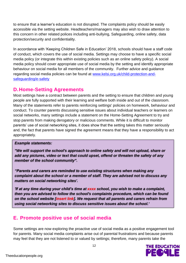to ensure that a learner's education is not disrupted. The complaints policy should be easily accessible via the setting website. Headteachers/managers may also wish to draw attention to this concern in other related polices including anti-bullying, Safeguarding, online safety, data protection/security and confidentiality.

In accordance with 'Keeping Children Safe in Education' 2018, schools should have a staff code of conduct, which covers the use of social media. Settings may choose to have a specific social media policy (or integrate this within existing policies such as an online safety policy). A social media policy should cover appropriate use of social media by the setting and identify appropriate behaviour on social media for all members of the community. Further advice and guidance regarding social media policies can be found at [www.kelsi.org.uk/child-protection-and](http://www.kelsi.org.uk/child-protection-and-safeguarding/e-safety)[safeguarding/e-safety](http://www.kelsi.org.uk/child-protection-and-safeguarding/e-safety)

# **D.Home-Setting Agreements**

Most settings have a contract between parents and the setting to ensure that children and young people are fully supported with their learning and welfare both inside and out of the classroom. Many of the statements refer to parents reinforcing settings' policies on homework, behaviour and conduct. To counter parents discussing sensitive issues about individual teachers or learners on social networks, many settings include a statement on the Home-Setting Agreement to try and stop parents from making derogatory or malicious comments. While it is difficult to monitor parents' use of social networking sites, it does show that the setting takes this matter seriously and, the fact that parents have signed the agreement means that they have a responsibility to act appropriately.

## *Example statements:*

*"We will support the school's approach to online safety and will not upload, share or add any pictures, video or text that could upset, offend or threaten the safety of any member of the school community".* 

*"Parents and carers are reminded to use existing structures when making any complaint about the school or a member of staff. They are advised not to discuss any matters on social networking sites'.* 

*'If at any time during your child's time at xxxx school, you wish to make a complaint, then you are advised to follow the school's complaints procedure, which can be found on the school website [insert link]. We request that all parents and carers refrain from using social networking sites to discuss sensitive issues about the school.'* 

# **E. Promote positive use of social media**

Some settings are now exploring the proactive use of social media as a positive engagement tool for parents. Many social media complaints arise out of parental frustrations and because parents may feel that they are not listened to or valued by settings; therefore, many parents take the

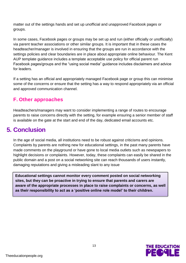matter out of the settings hands and set up unofficial and unapproved Facebook pages or groups.

In some cases, Facebook pages or groups may be set up and run (either officially or unofficially) via parent teacher associations or other similar groups. It is important that in these cases the headteacher/manager is involved in ensuring that the groups are run in accordance with the settings policies and clear boundaries are in place about appropriate online behaviour. The Kent AUP template guidance includes a template acceptable use policy for official parent run Facebook pages/groups and the "using social media" guidance includes disclaimers and advice for leaders.

If a setting has an official and appropriately managed Facebook page or group this can minimise some of the concerns or ensure that the setting has a way to respond appropriately via an official and approved communication channel.

# **F. Other approaches**

Headteachers/managers may want to consider implementing a range of routes to encourage parents to raise concerns directly with the setting, for example ensuring a senior member of staff is available on the gate at the start and end of the day, dedicated email accounts etc.

# **5. Conclusion**

In the age of social media, all institutions need to be robust against criticisms and opinions. Complaints by parents are nothing new for educational settings, in the past many parents have made comments on the playground or have gone to local media outlets such as newspapers to highlight decisions or complaints. However, today, these complaints can easily be shared in the public domain and a post on a social networking site can reach thousands of users instantly, damaging reputations and giving a misleading slant to any issue

**Educational settings cannot monitor every comment posted on social networking sites, but they can be proactive in trying to ensure that parents and carers are aware of the appropriate processes in place to raise complaints or concerns, as well as their responsibility to act as a 'positive online role model' to their children.**

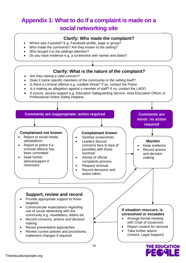# **Appendix 1: What to do if a complaint is made on a social networking site**

• Where was it posted? E.g. Facebook profile, page or group?

**Clarify: Who made the complaint?**

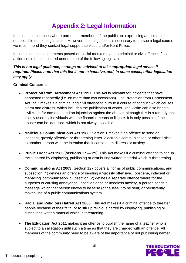# **Appendix 2: Legal Information**

In most circumstances where parents or members of the public are expressing an opinion, it is not possible to take legal action. However, if settings feel it is necessary to pursue a legal course, we recommend they contact legal support services and/or Kent Police.

In some situations, comments posted on social media may be a criminal or civil offence; if so, action could be considered under some of the following legislation.

## *This is not legal guidance; settings are advised to take appropriate legal advice if required. Please note that this list is not exhaustive, and, in some cases, other legislation may apply*.

## **Criminal Concerns**

- **Protection from Harassment Act 1997**: This Act is relevant for incidents that have happened repeatedly (i.e. on more than two occasions). The Protection from Harassment Act 1997 makes it a criminal and civil offence to pursue a course of conduct which causes alarm and distress, which includes the publication of words. The victim can also bring a civil claim for damages and an injunction against the abuser, although this is a remedy that is only used by individuals with the financial means to litigate. It is only possible if the abuser can be identified, which is not always possible.
- **Malicious Communications Act 1988:** Section 1 makes it an offence to send an indecent, grossly offensive or threatening letter, electronic communication or other article to another person with the intention that it cause them distress or anxiety.
- **Public Order Act 1986 (sections 17 — 29)**: This Act makes it a criminal offence to stir up racial hatred by displaying, publishing or distributing written material which is threatening.
- **Communications Act 2003:** Section 127 covers all forms of public communications, and subsection (1) defines an offence of sending a 'grossly offensive…obscene, indecent or menacing' communication. Subsection (2) defines a separate offence where for the purposes of causing annoyance, inconvenience or needless anxiety, a person sends a message which that person knows to be false (or causes it to be sent) or persistently makes use of a public communications system.
- **Racial and Religious Hatred Act 2006.** This Act makes it a criminal offence to threaten people because of their faith, or to stir up religious hatred by displaying, publishing or distributing written material which is threatening.
- **The Education Act 2011** makes it an offence to publish the name of a teacher who is subject to an allegation until such a time as that they are charged with an offence. All members of the community need to be aware of the importance of not publishing named

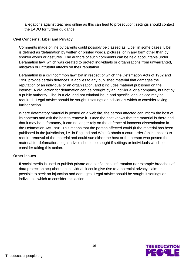allegations against teachers online as this can lead to prosecution; settings should contact the LADO for further guidance.

## **Civil Concerns: Libel and Privacy**

Comments made online by parents could possibly be classed as 'Libel' in some cases. Libel is defined as 'defamation by written or printed words, pictures, or in any form other than by spoken words or gestures'. The authors of such comments can be held accountable under Defamation law, which was created to protect individuals or organisations from unwarranted, mistaken or untruthful attacks on their reputation.

Defamation is a civil "common law" tort in respect of which the Defamation Acts of 1952 and 1996 provide certain defences. It applies to any published material that damages the reputation of an individual or an organisation, and it includes material published on the internet. A civil action for defamation can be brought by an individual or a company, but not by a public authority. Libel is a civil and not criminal issue and specific legal advice may be required. Legal advice should be sought if settings or individuals which to consider taking further action.

Where defamatory material is posted on a website, the person affected can inform the host of its contents and ask the host to remove it. Once the host knows that the material is there and that it may be defamatory, it can no longer rely on the defence of innocent dissemination in the Defamation Act 1996. This means that the person affected could (if the material has been published in the jurisdiction, i.e. in England and Wales) obtain a court order (an injunction) to require removal of the material and could sue either the host or the person who posted the material for defamation. Legal advice should be sought if settings or individuals which to consider taking this action.

#### **Other issues**

If social media is used to publish private and confidential information (for example breaches of data protection act) about an individual, it could give rise to a potential privacy claim. It is possible to seek an injunction and damages. Legal advice should be sought if settings or individuals which to consider this action.

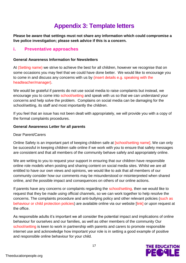# **Appendix 3: Template letters**

**Please be aware that settings must not share any information which could compromise a live police investigation; please seek advice if this is a concern.**

# **i. Preventative approaches**

#### **General Awareness Information for Newsletters**

At (Setting name) we strive to achieve the best for all children, however we recognise that on some occasions you may feel that we could have done better. We would like to encourage you to come in and discuss any concerns with us by (insert details e.g. speaking with the headteacher/manager).

We would be grateful if parents do not use social media to raise complaints but instead, we encourage you to come into school/setting and speak with us so that we can understand your concerns and help solve the problem. Complains on social media can be damaging for the school/setting, its staff and most importantly the children.

If you feel that an issue has not been dealt with appropriately, we will provide you with a copy of the formal complaints procedures.

#### **General Awareness Letter for all parents**

#### Dear Parent/Carers

Online Safety is an important part of keeping children safe at [school/setting name]. We can only be successful in keeping children safe online if we work with you to ensure that safety messages are consistent and that all members of the community behave safely and appropriately online.

We are writing to you to request your support in ensuring that our children have responsible online role models when posting and sharing content on social media sites. Whilst we are all entitled to have our own views and opinions, we would like to ask that all members of our community consider how our comments may be misunderstood or misinterpreted when shared online, and the possible impact and consequences on others of our online actions.

If parents have any concerns or complaints regarding the school/setting, then we would like to request that they be made using official channels, so we can work together to help resolve the concerns. The complaints procedure and anti-bullying policy and other relevant policies (such as behaviour or child protection policies) are available online via our website [link] or upon request at the office.

As responsible adults it's important we all consider the potential impact and implications of online behaviour for ourselves and our families, as well as other members of the community Our school/setting is keen to work in partnership with parents and carers to promote responsible internet use and acknowledge how important your role is in setting a good example of positive and responsible online behaviour for your child.

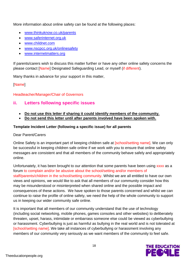More information about online safety can be found at the following places:

- [www.thinkuknow.co.uk/parents](http://www.thinkuknow.co.uk/parents)
- [www.saferinternet.org.uk](http://www.saferinternet.org.uk/)
- [www.childnet.com](http://www.childnet.com/)
- [www.nscpcc.org.uk/onlinesafety](http://www.nscpcc.org.uk/onlinesafety)
- [www.internetmatters.org](http://www.internetmatters.org/)

If parents/carers wish to discuss this matter further or have any other online safety concerns the please contact [Name] Designated Safeguarding Lead, or myself (if different).

Many thanks in advance for your support in this matter,

# [Name]

# Headteacher/Manager/Chair of Governors

# **ii. Letters following specific issues**

- **Do not use this letter if sharing it could identify members of the community.**
- **Do not send this letter until after parents involved have been spoken with.**

# **Template Incident Letter (following a specific issue) for all parents**

## Dear Parent/Carers

Online Safety is an important part of keeping children safe at [school/setting name]. We can only be successful in keeping children safe online if we work with you to ensure that online safety messages are consistent and that all members of the community behave safely and appropriately online.

Unfortunately, it has been brought to our attention that some parents have been using xxxx as a forum to complain and/or be abusive about the school/setting and/or members of staff/parents/children in the school/setting community. Whilst we are all entitled to have our own views and opinions, we would like to ask that all members of our community consider how this may be misunderstood or misinterpreted when shared online and the possible impact and consequences of these actions. We have spoken to those parents concerned and whilst we can continue to raise the profile of online safety, we need the help of the whole community to support us in keeping our wider community safe online.

It is important that all members of our community understand that the use of technology (including social networking, mobile phones, games consoles and other websites) to deliberately threaten, upset, harass, intimidate or embarrass someone else could be viewed as cyberbullying or harassment. Cyberbullying is just as harmful as bullying in the real world and is not tolerated at [school/setting name]. We take all instances of cyberbullying or harassment involving any members of our community very seriously as we want members of the community to feel safe.

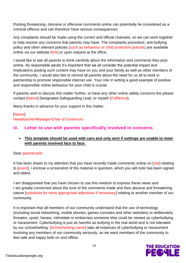Posting threatening, obscene or offensive comments online can potentially be considered as a criminal offence and can therefore have serious consequences.

Any complaints should be made using the correct and official channels, so we can work together to help resolve any concerns that parents may have. The complaints procedure, anti-bullying policy and other relevant policies (such as behaviour or child protection policies) are available online via our website (link) or upon request at the office.

I would like to ask all parents to think carefully about the information and comments they post online. As responsible adults it's important that we all consider the potential impact and implications posting such content may have on you and your family as well as other members of the community. I would also like to remind all parents about the need for us all to work in partnership to promote responsible internet use. Your role in setting a good example of positive and responsible online behaviour for your child is crucial.

If parents wish to discuss this matter further, or have any other online safety concerns the please contact [Name] Designated Safeguarding Lead, or myself (if different).

Many thanks in advance for your support in this matter,

# [Name] Headteacher/Manager/Chair of Governors

# **iii. Letter to use with parents specifically involved in concerns**

• **This template should be used with care and only sent if settings are unable to meet with parents involved face to face.**

## Dear parent/carer

It has been drawn to my attention that you have recently made comments online on [site] relating to [event]. I enclose a screenshot of the material in question, which you will note has been signed and dated.

I am disappointed that you have chosen to use this medium to express these views and I am greatly concerned about the tone of the comments made and their abusive and threatening nature [substitute for more appropriate adjectives if necessary] relating to another member of our community.

It is important that all members of our community understand that the use of technology (including social networking, mobile phones, games consoles and other websites) to deliberately threaten, upset, harass, intimidate or embarrass someone else could be viewed as cyberbullying or harassment. Cyberbullying is just as harmful as bullying in the real world and is not tolerated by our school/setting; (School/setting name) take all instances of cyberbullying or harassment involving any members of our community seriously, as we want members of the community to feel safe and happy both on and offline.

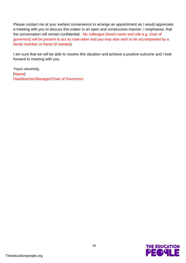Please contact me at your earliest convenience to arrange an appointment as I would appreciate a meeting with you to discuss this matter in an open and constructive manner. I emphasise, that the conversation will remain confidential. My colleague [insert name and role e.g. chair of governors] will be present to act as note-taker and you may also wish to be accompanied by a family member or friend (if needed).

I am sure that we will be able to resolve this situation and achieve a positive outcome and I look forward to meeting with you.

Yours sincerely, [Name] Headteacher/Manager/Chair of Governors

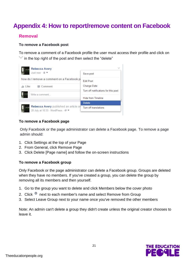# **Appendix 4: How to report/remove content on Facebook**

# **Removal**

#### **To remove a Facebook post**

To remove a comment of a Facebook profile the user must access their profile and click on in the top right of the post and then select the "delete"



#### **To remove a Facebook page**

Only Facebook or the page administrator can delete a Facebook page. To remove a page admin should:

- 1. Click Settings at the top of your Page
- 2. From General, click Remove Page
- 3. Click Delete [Page name] and follow the on-screen instructions

#### **To remove a Facebook group**

Only Facebook or the page administrator can delete a Facebook group. Groups are deleted when they have no members. If you've created a group, you can delete the group by removing all its members and then yourself.

- 1. Go to the group you want to delete and click Members below the cover photo
- 2. Click  $\Phi$  next to each member's name and select Remove from Group
- 3. Select Leave Group next to your name once you've removed the other members

Note: An admin can't delete a group they didn't create unless the original creator chooses to leave it.

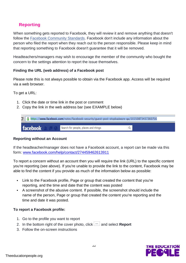# **Reporting**

When something gets reported to Facebook, they will review it and remove anything that doesn't follow the [Facebook Community Standards.](https://www.facebook.com/communitystandards/) Facebook don't include any information about the person who filed the report when they reach out to the person responsible. Please keep in mind that reporting something to Facebook doesn't guarantee that it will be removed.

Headteachers/managers may wish to encourage the member of the community who bought the concern to the settings attention to report the issue themselves.

## **Finding the URL (web address) of a Facebook post**

Please note this is not always possible to obtain via the Facebook app. Access will be required via a web browser.

To get a URL:

- 1. Click the date or time link in the post or comment
- 2. Copy the link in the web address bar (see EXAMPLE below)

| 3 Attps://www.facebook.com/notes/facebook-security/guest-post-stopbadware-qa/10150873437360766 |          |                                      |  |  |
|------------------------------------------------------------------------------------------------|----------|--------------------------------------|--|--|
|                                                                                                | facebook | Search for people, places and things |  |  |

#### **Reporting without an Account**

If the headteacher/manager does not have a Facebook account, a report can be made via this form: [www.facebook.com/help/contact/274459462613911](https://www.facebook.com/help/contact/274459462613911)

To report a concern without an account then you will require the link (URL) to the specific content you're reporting (see above). If you're unable to provide the link to the content, Facebook may be able to find the content if you provide as much of the information below as possible:

- Link to the Facebook profile, Page or group that created the content that you're reporting, and the time and date that the content was posted
- A screenshot of the abusive content. If possible, the screenshot should include the name of the person, Page or group that created the content you're reporting and the time and date it was posted.

## **To report a Facebook profile:**

- 1. Go to the profile you want to report
- 2. In the bottom right of the cover photo, click **and select Report**
- 3. Follow the on-screen instructions

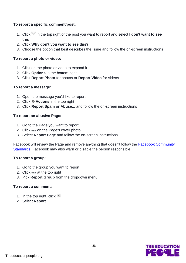## **To report a specific comment/post:**

- 1. Click in the top right of the post you want to report and select **I don't want to see this**
- 2. Click **Why don't you want to see this?**
- 3. Choose the option that best describes the issue and follow the on-screen instructions

#### **To report a photo or video:**

- 1. Click on the photo or video to expand it
- 2. Click **Options** in the bottom right
- 3. Click **Report Photo** for photos or **Report Video** for videos

## **To report a message:**

- 1. Open the message you'd like to report
- 2. Click **Actions** in the top right
- 3. Click **Report Spam or Abuse...** and follow the on-screen instructions

## **To report an abusive Page:**

- 1. Go to the Page you want to report
- 2. Click ... on the Page's cover photo
- 3. Select **Report Page** and follow the on-screen instructions

Facebook will review the Page and remove anything that doesn't follow the **Facebook Community** [Standards.](https://www.facebook.com/communitystandards) Facebook may also warn or disable the person responsible.

## **To report a group:**

- 1. Go to the group you want to report
- 2. Click  $\bullet\bullet\bullet$  at the top right
- 3. Pick **Report Group** from the dropdown menu

#### **To report a comment:**

- 1. In the top right, click  $\mathbf{\times}$
- 2. Select **Report**

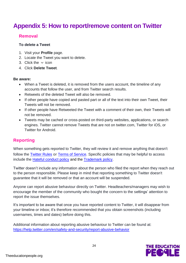# **Appendix 5: How to report/remove content on Twitter**

# **Removal**

## **To delete a Tweet**

- 1. Visit your **Profile** page.
- 2. Locate the Tweet you want to delete.
- 3. Click the  $\vee$  icon
- 4. Click **Delete Tweet**.

#### **Be aware:**

- When a Tweet is deleted, it is removed from the users account, the timeline of any accounts that follow the user, and from Twitter search results.
- Retweets of the deleted Tweet will also be removed.
- If other people have copied and pasted part or all of the text into their own Tweet, their Tweets will not be removed.
- If other people have Retweeted the Tweet with a comment of their own, their Tweets will not be removed.
- Tweets may be cached or cross-posted on third-party websites, applications, or search engines. Twitter cannot remove Tweets that are not on twitter.com, Twitter for iOS, or Twitter for Android.

# **Reporting**

When something gets reported to Twitter, they will review it and remove anything that doesn't follow the [Twitter Rules](https://help.twitter.com/en/rules-and-policies/twitter-rules) or [Terms of Service.](https://twitter.com/en/tos) Specific policies that may be helpful to access include the [Hateful conduct policy](https://help.twitter.com/en/rules-and-policies/hateful-conduct-policy) and the [Trademark policy.](https://help.twitter.com/en/rules-and-policies/twitter-trademark-policy)

Twitter doesn't include any information about the person who filed the report when they reach out to the person responsible. Please keep in mind that reporting something to Twitter doesn't guarantee that it will be removed or that an account will be suspended.

Anyone can report abusive behaviour directly on Twitter. Headteachers/managers may wish to encourage the member of the community who bought the concern to the settings' attention to report the issue themselves.

It's important to be aware that once you have reported content to Twitter, it will disappear from your timeline or inbox; it's therefore recommended that you obtain screenshots (including usernames, times and dates) before doing this.

Additional information about reporting abusive behaviour to Twitter can be found at: <https://help.twitter.com/en/safety-and-security/report-abusive-behavior>

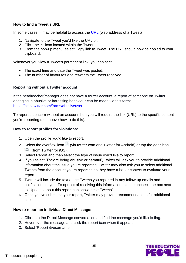## **How to find a Tweet's URL**

In some cases, it may be helpful to access the [URL](https://help.twitter.com/en/using-twitter/tweet-and-moment-url) (web address of a Tweet)

- 1. Navigate to the Tweet you'd like the URL of.
- 2. Click the  $\vee$  icon located within the Tweet.
- 3. From the pop-up menu, select Copy link to Tweet. The URL should now be copied to your clipboard.

Whenever you view a Tweet's permanent link, you can see:

- The exact time and date the Tweet was posted.
- The number of favourites and retweets the Tweet received.

#### **Reporting without a Twitter account**

If the headteacher/manager does not have a twitter account, a report of someone on Twitter engaging in abusive or harassing behaviour can be made via this form: <https://help.twitter.com/forms/abusiveuser>

To report a concern without an account then you will require the link (URL) to the specific content you're reporting (see above how to do this).

#### **How to report profiles for violations:**

- 1. Open the profile you'd like to report.
- 2. Select the overflow icon (via twitter.com and Twitter for Android) or tap the gear icon **F** (from Twitter for iOS).
- 3. Select Report and then select the type of issue you'd like to report.
- 4. If you select 'They're being abusive or harmful', Twitter will ask you to provide additional information about the issue you're reporting. Twitter may also ask you to select additional Tweets from the account you're reporting so they have a better context to evaluate your report.
- 5. Twitter will include the text of the Tweets you reported in any follow-up emails and notifications to you. To opt-out of receiving this information, please uncheck the box next to 'Updates about this report can show these Tweets'.
- 6. Once you've submitted your report, Twitter may provide recommendations for additional actions.

#### **How to report an individual Direct Message:**

- 1. Click into the Direct Message conversation and find the message you'd like to flag.
- 2. Hover over the message and click the report icon when it appears.
- 3. Select 'Report @username'.

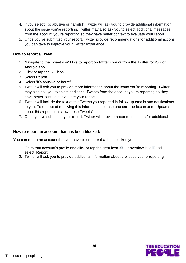- 4. If you select 'It's abusive or harmful', Twitter will ask you to provide additional information about the issue you're reporting. Twitter may also ask you to select additional messages from the account you're reporting so they have better context to evaluate your report.
- 5. Once you've submitted your report, Twitter provide recommendations for additional actions you can take to improve your Twitter experience.

#### **How to report a Tweet:**

- 1. Navigate to the Tweet you'd like to report on twitter.com or from the Twitter for iOS or Android app.
- 2. Click or tap the  $\vee$  icon.
- 3. Select Report.
- 4. Select 'It's abusive or harmful'.
- 5. Twitter will ask you to provide more information about the issue you're reporting. Twitter may also ask you to select additional Tweets from the account you're reporting so they have better context to evaluate your report.
- 6. Twitter will include the text of the Tweets you reported in follow-up emails and notifications to you. To opt-out of receiving this information, please uncheck the box next to 'Updates about this report can show these Tweets'.
- 7. Once you've submitted your report, Twitter will provide recommendations for additional actions.

#### **How to report an account that has been blocked:**

You can report an account that you have blocked or that has blocked you.

- 1. Go to that account's profile and click or tap the gear icon  $\mathbb{Q}$  or overflow icon and select 'Report'.
- 2. Twitter will ask you to provide additional information about the issue you're reporting.